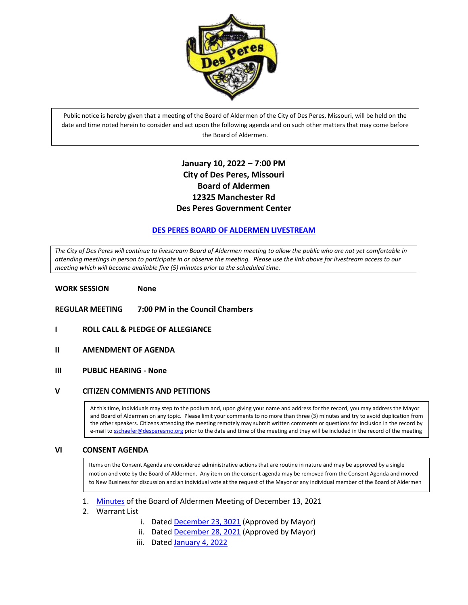

Public notice is hereby given that a meeting of the Board of Aldermen of the City of Des Peres, Missouri, will be held on the date and time noted herein to consider and act upon the following agenda and on such other matters that may come before the Board of Aldermen.

# **January 10, 2022 – 7:00 PM City of Des Peres, Missouri Board of Aldermen 12325 Manchester Rd Des Peres Government Center**

### **[DES PERES BOARD OF ALDERMEN LIVESTREAM](https://us02web.zoom.us/j/85057782031)**

*The City of Des Peres will continue to livestream Board of Aldermen meeting to allow the public who are not yet comfortable in attending meetings in person to participate in or observe the meeting. Please use the link above for livestream access to our meeting which will become available five (5) minutes prior to the scheduled time.* 

#### **WORK SESSION None**

**REGULAR MEETING 7:00 PM in the Council Chambers**

- **I ROLL CALL & PLEDGE OF ALLEGIANCE**
- **II AMENDMENT OF AGENDA**
- **III PUBLIC HEARING - None**

#### **V CITIZEN COMMENTS AND PETITIONS**

At this time, individuals may step to the podium and, upon giving your name and address for the record, you may address the Mayor and Board of Aldermen on any topic. Please limit your comments to no more than three (3) minutes and try to avoid duplication from the other speakers. Citizens attending the meeting remotely may submit written comments or questions for inclusion in the record by e-mail to **sschaefer@desperesmo.org** prior to the date and time of the meeting and they will be included in the record of the meeting

#### **VI CONSENT AGENDA**

Items on the Consent Agenda are considered administrative actions that are routine in nature and may be approved by a single motion and vote by the Board of Aldermen. Any item on the consent agenda may be removed from the Consent Agenda and moved to New Business for discussion and an individual vote at the request of the Mayor or any individual member of the Board of Aldermen

- 1. [Minutes](https://www.desperesmo.org/DocumentCenter/View/21537/12-13-2021-Draft-Alderman-Meeting-Minutes-) of the Board of Aldermen Meeting of December 13, 2021
- 2. Warrant List
	- i. Date[d December 23, 3021](https://www.desperesmo.org/DocumentCenter/View/21538/dec-24-warrent-list) (Approved by Mayor)
	- ii. Date[d December 28, 2021](https://www.desperesmo.org/DocumentCenter/View/21539/Warrant-List-122821) (Approved by Mayor)
	- iii. Date[d January 4, 2022](https://www.desperesmo.org/DocumentCenter/View/21556/warrent-list-1-6-2022001)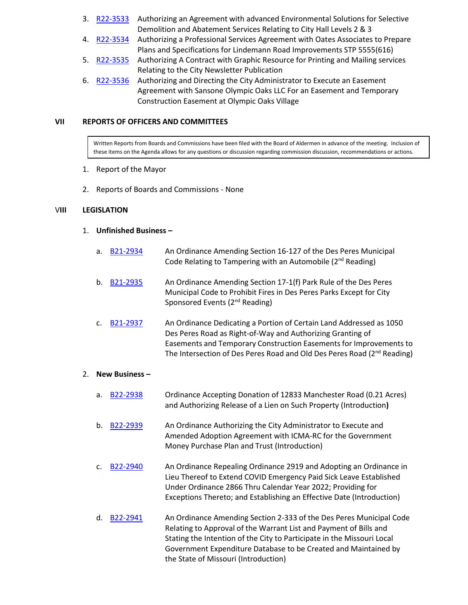- 3. [R22-3533](https://www.desperesmo.org/DocumentCenter/View/21554/-R22-3533-Enfironmental-Abatement-Advanced-Environmental) Authorizing an Agreement with advanced Environmental Solutions for Selective Demolition and Abatement Services Relating to City Hall Levels 2 & 3
- 4. [R22-3534](https://www.desperesmo.org/DocumentCenter/View/21542/UPDATED-R22-3534-Oates--Associates-Lindemann-Road-R-sm-edits) Authorizing a Professional Services Agreement with Oates Associates to Prepare Plans and Specifications for Lindemann Road Improvements STP 5555(616)
- 5. [R22-3535](https://www.desperesmo.org/DocumentCenter/View/21543/R22-3535-Newsletter-Printing-Graphic-Resources-2022) Authorizing A Contract with Graphic Resource for Printing and Mailing services Relating to the City Newsletter Publication
- 6. [R22-3536](https://www.desperesmo.org/DocumentCenter/View/21544/R22-3536-Easement---Manchester---Olympic-Oaks-2022) Authorizing and Directing the City Administrator to Execute an Easement Agreement with Sansone Olympic Oaks LLC For an Easement and Temporary Construction Easement at Olympic Oaks Village

### **VII REPORTS OF OFFICERS AND COMMITTEES**

Written Reports from Boards and Commissions have been filed with the Board of Aldermen in advance of the meeting. Inclusion of these items on the Agenda allows for any questions or discussion regarding commission discussion, recommendations or actions.

- 1. Report of the Mayor
- 2. Reports of Boards and Commissions None

### V**III LEGISLATION**

### 1. **Unfinished Business –**

- a. [B21-2934](https://www.desperesmo.org/DocumentCenter/View/21467/B21-2934-Sec-16-127-Auto-Tampering-AND-Prowling) An Ordinance Amending Section 16-127 of the Des Peres Municipal Code Relating to Tampering with an Automobile (2nd Reading)
- b. [B21-2935](https://www.desperesmo.org/DocumentCenter/View/21468/B21-2935-Park-Rules-Amendment_Open-Burning-Ban) An Ordinance Amending Section 17-1(f) Park Rule of the Des Peres Municipal Code to Prohibit Fires in Des Peres Parks Except for City Sponsored Events (2<sup>nd</sup> Reading)
- c. **[B21-2937](https://www.desperesmo.org/DocumentCenter/View/21470/B21-2937-Dedication-of-ROW-and-Easements-DP-Road-Roundabout)** An Ordinance Dedicating a Portion of Certain Land Addressed as 1050 Des Peres Road as Right-of-Way and Authorizing Granting of Easements and Temporary Construction Easements for Improvements to The Intersection of Des Peres Road and Old Des Peres Road (2<sup>nd</sup> Reading)

## 2. **New Business –**

- a. **[B22-2938](https://www.desperesmo.org/DocumentCenter/View/21565/-B22-2938-Donation-of-Steiner-Property)** Ordinance Accepting Donation of 12833 Manchester Road (0.21 Acres) and Authorizing Release of a Lien on Such Property (Introduction**)**
- b. **[B22-2939](https://www.desperesmo.org/DocumentCenter/View/21546/B22-2939-Restatement-of-ICMA-RC-Plan-107229)** An Ordinance Authorizing the City Administrator to Execute and Amended Adoption Agreement with ICMA-RC for the Government Money Purchase Plan and Trust (Introduction)
- c. [B22-2940](https://www.desperesmo.org/DocumentCenter/View/21547/B22-2940-Extension-of-Pandemic-Leave-Policy) An Ordinance Repealing Ordinance 2919 and Adopting an Ordinance in Lieu Thereof to Extend COVID Emergency Paid Sick Leave Established Under Ordinance 2866 Thru Calendar Year 2022; Providing for Exceptions Thereto; and Establishing an Effective Date (Introduction)
- d. **[B22-2941](https://www.desperesmo.org/DocumentCenter/View/21548/B22-2941-Amending-Warrant-List-Approval-Procedures)** An Ordinance Amending Section 2-333 of the Des Peres Municipal Code Relating to Approval of the Warrant List and Payment of Bills and Stating the Intention of the City to Participate in the Missouri Local Government Expenditure Database to be Created and Maintained by the State of Missouri (Introduction)